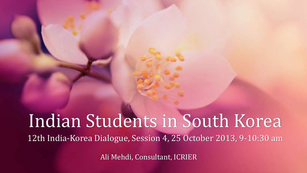# Indian Students in South Korea 12th India-Korea Dialogue, Session 4, 25 October 2013, 9-10:30 am

Ali Mehdi, Consultant, ICRIER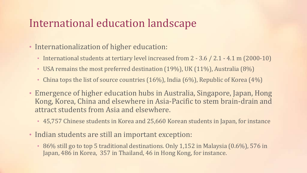## International education landscape

- Internationalization of higher education:
	- International students at tertiary level increased from 2 3.6 / 2.1 4.1 m (2000-10)
	- USA remains the most preferred destination (19%), UK (11%), Australia (8%)
	- China tops the list of source countries  $(16%)$ , India  $(6%)$ , Republic of Korea  $(4%)$
- Emergence of higher education hubs in Australia, Singapore, Japan, Hong Kong, Korea, China and elsewhere in Asia-Pacific to stem brain-drain and attract students from Asia and elsewhere.
	- 45,757 Chinese students in Korea and 25,660 Korean students in Japan, for instance
- Indian students are still an important exception:
	- 86% still go to top 5 traditional destinations. Only 1,152 in Malaysia (0.6%), 576 in Japan, 486 in Korea, 357 in Thailand, 46 in Hong Kong, for instance.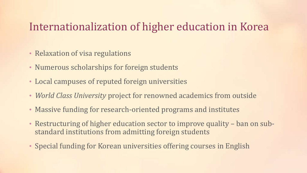## Internationalization of higher education in Korea

- Relaxation of visa regulations
- Numerous scholarships for foreign students
- Local campuses of reputed foreign universities
- *World Class University* project for renowned academics from outside
- Massive funding for research-oriented programs and institutes
- Restructuring of higher education sector to improve quality ban on substandard institutions from admitting foreign students
- Special funding for Korean universities offering courses in English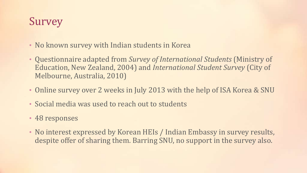## Survey

- No known survey with Indian students in Korea
- Questionnaire adapted from *Survey of International Students* (Ministry of Education, New Zealand, 2004) and *International Student Survey* (City of Melbourne, Australia, 2010)
- Online survey over 2 weeks in July 2013 with the help of ISA Korea & SNU
- Social media was used to reach out to students
- 48 responses
- No interest expressed by Korean HEIs / Indian Embassy in survey results, despite offer of sharing them. Barring SNU, no support in the survey also.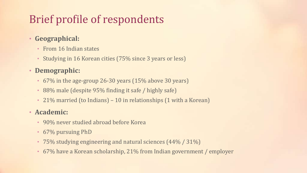## Brief profile of respondents

#### • **Geographical:**

- From 16 Indian states
- Studying in 16 Korean cities (75% since 3 years or less)

#### • **Demographic:**

- 67% in the age-group 26-30 years (15% above 30 years)
- 88% male (despite 95% finding it safe / highly safe)
- 21% married (to Indians) 10 in relationships (1 with a Korean)

#### • **Academic:**

- 90% never studied abroad before Korea
- 67% pursuing PhD
- 75% studying engineering and natural sciences (44% / 31%)
- 67% have a Korean scholarship, 21% from Indian government / employer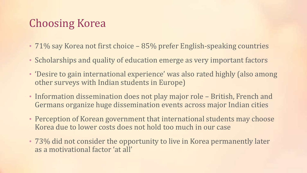## Choosing Korea

- 71% say Korea not first choice 85% prefer English-speaking countries
- Scholarships and quality of education emerge as very important factors
- 'Desire to gain international experience' was also rated highly (also among other surveys with Indian students in Europe)
- Information dissemination does not play major role British, French and Germans organize huge dissemination events across major Indian cities
- Perception of Korean government that international students may choose Korea due to lower costs does not hold too much in our case
- 73% did not consider the opportunity to live in Korea permanently later as a motivational factor 'at all'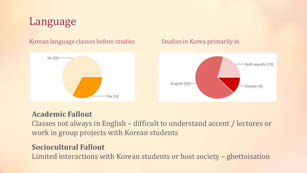

#### Korean language classes before studies Studies in Korea primarily in





#### **Academic Fallout**

Classes not always in English – difficult to understand accent / lectures or work in group projects with Korean students

#### **Sociocultural Fallout**

Limited interactions with Korean students or host society – ghettoisation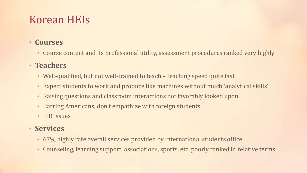## Korean HEIs

#### • **Courses**

• Course content and its professional utility, assessment procedures ranked very highly

#### • **Teachers**

- Well-qualified, but not well-trained to teach teaching speed quite fast
- Expect students to work and produce like machines without much 'analytical skills'
- Raising questions and classroom interactions not favorably looked upon
- Barring Americans, don't empathize with foreign students
- IPR issues

#### • **Services**

- 67% highly rate overall services provided by international students office
- Counseling, learning support, associations, sports, etc. poorly ranked in relative terms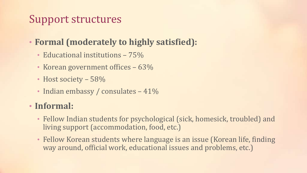## Support structures

## • **Formal (moderately to highly satisfied):**

- Educational institutions 75%
- Korean government offices 63%
- Host society 58%
- Indian embassy / consulates 41%

### • **Informal:**

- Fellow Indian students for psychological (sick, homesick, troubled) and living support (accommodation, food, etc.)
- Fellow Korean students where language is an issue (Korean life, finding way around, official work, educational issues and problems, etc.)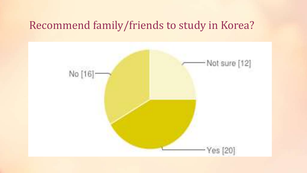## Recommend family/friends to study in Korea?

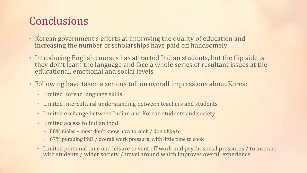## Conclusions

- Korean government's efforts at improving the quality of education and increasing the number of scholarships have paid off handsomely
- Introducing English courses has attracted Indian students, but the flip side is they don't learn the language and face a whole series of resultant issues at the educational, emotional and social levels
- Following have taken a serious toll on overall impressions about Korea:
	- Limited Korean language skills
	- Limited intercultural understanding between teachers and students
	- Limited exchange between Indian and Korean students and society
	- Limited access to Indian food
		- 88% males most don't know how to cook / don't like to
		- 67% pursuing PhD / overall work pressure, with little time to cook
	- Limited personal time and leisure to vent off work and psychosocial pressures / to interact with students / wider society / travel around which improves overall experience